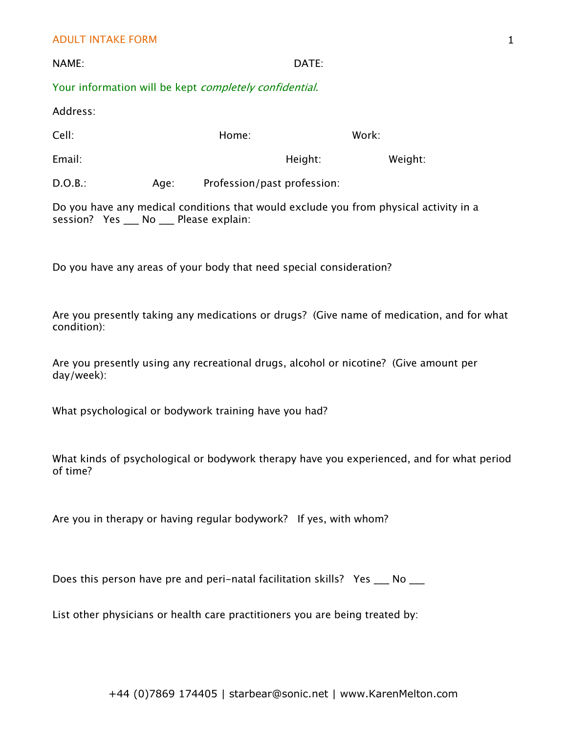## ADULT INTAKE FORM

| NAME:                                                          | DATE: |
|----------------------------------------------------------------|-------|
| Your information will be kept <i>completely confidential</i> . |       |

Address:

| Cell:   |      | Home:                       | Work:   |
|---------|------|-----------------------------|---------|
| Email:  |      | Height:                     | Weight: |
| D.O.B.: | Age: | Profession/past profession: |         |

Do you have any medical conditions that would exclude you from physical activity in a session? Yes \_\_\_ No \_\_\_ Please explain:

Do you have any areas of your body that need special consideration?

Are you presently taking any medications or drugs? (Give name of medication, and for what condition):

Are you presently using any recreational drugs, alcohol or nicotine? (Give amount per day/week):

What psychological or bodywork training have you had?

What kinds of psychological or bodywork therapy have you experienced, and for what period of time?

Are you in therapy or having regular bodywork? If yes, with whom?

Does this person have pre and peri-natal facilitation skills? Yes \_\_\_ No \_\_\_

List other physicians or health care practitioners you are being treated by:

1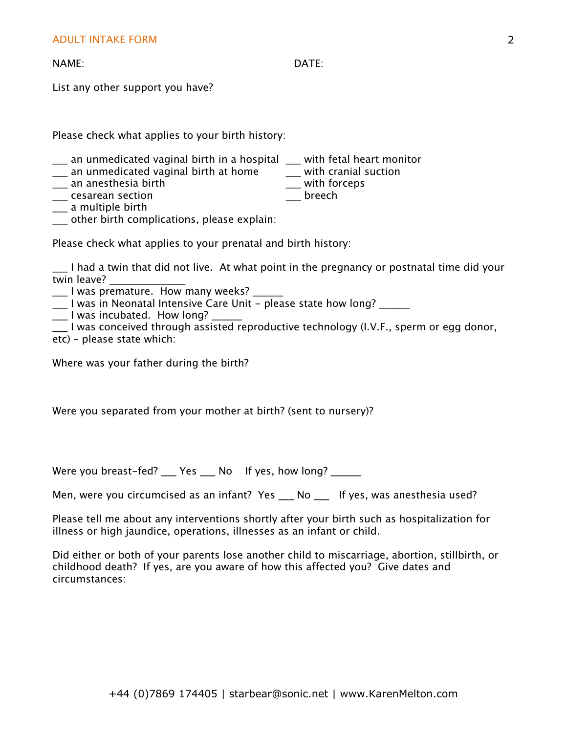NAME: DATE:

List any other support you have?

Please check what applies to your birth history:

- \_\_\_ an unmedicated vaginal birth in a hospital \_\_\_ with fetal heart monitor \_\_\_ an unmedicated vaginal birth at home \_\_\_\_ with cranial suction
- \_\_\_ an unmedicated vaginal birth at home \_\_\_\_ with cranial s<br>\_\_\_ an anesthesia birth \_\_\_\_\_\_\_\_\_\_\_\_\_\_\_\_\_\_\_\_\_\_ with forceps
- \_\_\_ an anesthesia birth \_\_\_ with forceps
- \_\_\_ cesarean section \_\_\_ breech
- \_\_\_ a multiple birth
- \_\_\_ other birth complications, please explain:

Please check what applies to your prenatal and birth history:

\_\_\_ I had a twin that did not live. At what point in the pregnancy or postnatal time did your twin leave?

\_\_\_ I was premature. How many weeks? \_\_\_\_\_\_

 $\frac{1}{2}$  I was in Neonatal Intensive Care Unit - please state how long?

- \_\_\_ I was incubated. How long? \_\_\_\_\_\_
- \_\_\_ I was conceived through assisted reproductive technology (I.V.F., sperm or egg donor,
- etc) please state which:

Where was your father during the birth?

Were you separated from your mother at birth? (sent to nursery)?

Were you breast-fed? \_\_\_ Yes \_\_\_ No If yes, how long? \_\_\_\_\_\_

Men, were you circumcised as an infant? Yes \_\_\_ No \_\_\_ If yes, was anesthesia used?

Please tell me about any interventions shortly after your birth such as hospitalization for illness or high jaundice, operations, illnesses as an infant or child.

Did either or both of your parents lose another child to miscarriage, abortion, stillbirth, or childhood death? If yes, are you aware of how this affected you? Give dates and circumstances: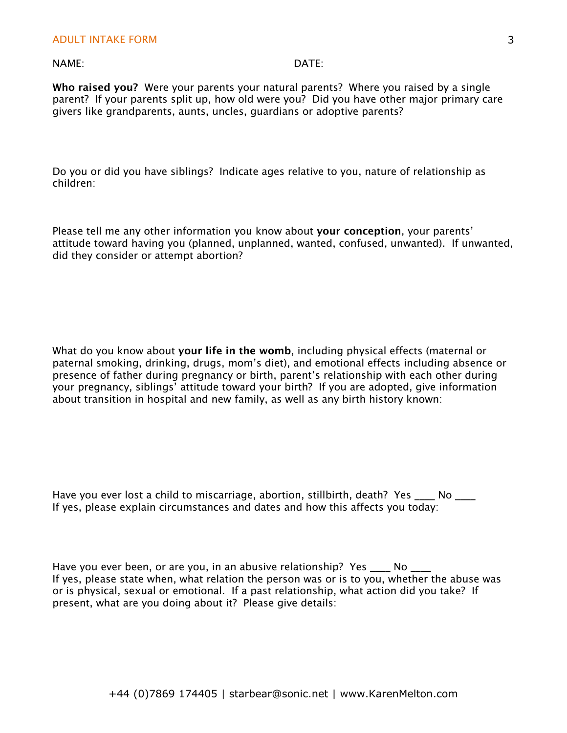## NAME: DATE:

**Who raised you?** Were your parents your natural parents? Where you raised by a single parent? If your parents split up, how old were you? Did you have other major primary care givers like grandparents, aunts, uncles, guardians or adoptive parents?

Do you or did you have siblings? Indicate ages relative to you, nature of relationship as children:

Please tell me any other information you know about **your conception**, your parents' attitude toward having you (planned, unplanned, wanted, confused, unwanted). If unwanted, did they consider or attempt abortion?

What do you know about **your life in the womb**, including physical effects (maternal or paternal smoking, drinking, drugs, mom's diet), and emotional effects including absence or presence of father during pregnancy or birth, parent's relationship with each other during your pregnancy, siblings' attitude toward your birth? If you are adopted, give information about transition in hospital and new family, as well as any birth history known:

Have you ever lost a child to miscarriage, abortion, stillbirth, death? Yes \_\_\_\_ No \_\_\_ If yes, please explain circumstances and dates and how this affects you today:

Have you ever been, or are you, in an abusive relationship? Yes \_\_\_\_ No \_\_ If yes, please state when, what relation the person was or is to you, whether the abuse was or is physical, sexual or emotional. If a past relationship, what action did you take? If present, what are you doing about it? Please give details: